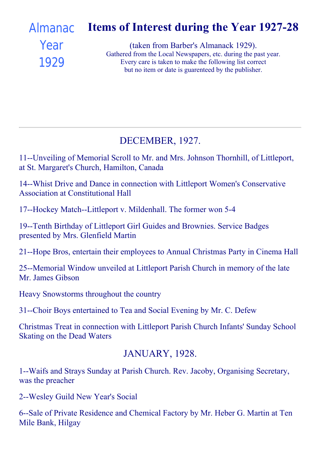#### Items of Interest during the Year 1927-28 [Almanac](file:///C:/FrontPage%20Webs/Content/images/almanack/advert1929.jpg)

# Year 1929

(taken from Barber's Almanack 1929). Gathered from the Local Newspapers, etc. during the past year. Every care is taken to make the following list correct but no item or date is guarenteed by the publisher.

#### DECEMBER, 1927.

11--Unveiling of Memorial Scroll to Mr. and Mrs. Johnson Thornhill, of Littleport, at St. Margaret's Church, Hamilton, Canada

14--Whist Drive and Dance in connection with Littleport Women's Conservative Association at Constitutional Hall

17--Hockey Match--Littleport v. Mildenhall. The former won 5-4

19--Tenth Birthday of Littleport Girl Guides and Brownies. Service Badges presented by Mrs. Glenfield Martin

21--Hope Bros, entertain their employees to Annual Christmas Party in Cinema Hall

25--Memorial Window unveiled at Littleport Parish Church in memory of the late Mr. James Gibson

Heavy Snowstorms throughout the country

31--Choir Boys entertained to Tea and Social Evening by Mr. C. Defew

Christmas Treat in connection with Littleport Parish Church Infants' Sunday School Skating on the Dead Waters

#### JANUARY, 1928.

1--Waifs and Strays Sunday at Parish Church. Rev. Jacoby, Organising Secretary, was the preacher

2--Wesley Guild New Year's Social

6--Sale of Private Residence and Chemical Factory by Mr. Heber G. Martin at Ten Mile Bank, Hilgay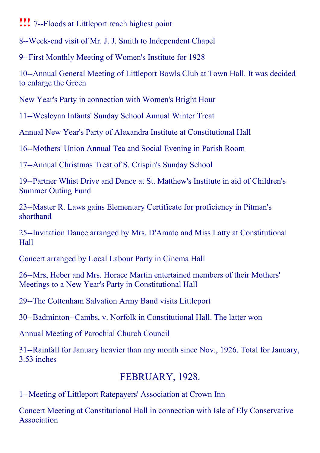#### **!!!** 7--Floods at Littleport reach highest point

8--Week-end visit of Mr. J. J. Smith to Independent Chapel

9--First Monthly Meeting of Women's Institute for 1928

10--Annual General Meeting of Littleport Bowls Club at Town Hall. It was decided to enlarge the Green

New Year's Party in connection with Women's Bright Hour

11--Wesleyan Infants' Sunday School Annual Winter Treat

Annual New Year's Party of Alexandra Institute at Constitutional Hall

16--Mothers' Union Annual Tea and Social Evening in Parish Room

17--Annual Christmas Treat of S. Crispin's Sunday School

19--Partner Whist Drive and Dance at St. Matthew's Institute in aid of Children's Summer Outing Fund

23--Master R. Laws gains Elementary Certificate for proficiency in Pitman's shorthand

25--Invitation Dance arranged by Mrs. D'Amato and Miss Latty at Constitutional Hall

Concert arranged by Local Labour Party in Cinema Hall

26--Mrs, Heber and Mrs. Horace Martin entertained members of their Mothers' Meetings to a New Year's Party in Constitutional Hall

29--The Cottenham Salvation Army Band visits Littleport

30--Badminton--Cambs, v. Norfolk in Constitutional Hall. The latter won

Annual Meeting of Parochial Church Council

31--Rainfall for January heavier than any month since Nov., 1926. Total for January, 3.53 inches

# FEBRUARY, 1928.

1--Meeting of Littleport Ratepayers' Association at Crown Inn

Concert Meeting at Constitutional Hall in connection with Isle of Ely Conservative Association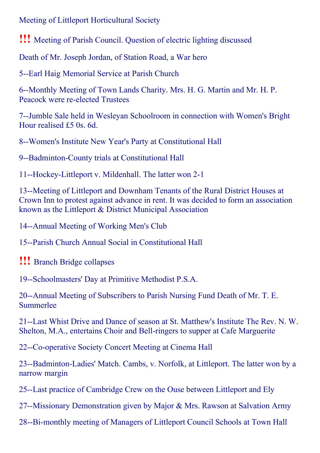Meeting of Littleport Horticultural Society

!!! Meeting of Parish Council. Question of electric lighting discussed

Death of Mr. Joseph Jordan, of Station Road, a War hero

5--Earl Haig Memorial Service at Parish Church

6--Monthly Meeting of Town Lands Charity. Mrs. H. G. Martin and Mr. H. P. Peacock were re-elected Trustees

7--Jumble Sale held in Wesleyan Schoolroom in connection with Women's Bright Hour realised £5 0s. 6d.

8--Women's Institute New Year's Party at Constitutional Hall

9--Badminton-County trials at Constitutional Hall

11--Hockey-Littleport v. Mildenhall. The latter won 2-1

13--Meeting of Littleport and Downham Tenants of the Rural District Houses at Crown Inn to protest against advance in rent. It was decided to form an association known as the Littleport & District Municipal Association

14--Annual Meeting of Working Men's Club

15--Parish Church Annual Social in Constitutional Hall

!!! Branch Bridge collapses

19--Schoolmasters' Day at Primitive Methodist P.S.A.

20--Annual Meeting of Subscribers to Parish Nursing Fund Death of Mr. T. E. Summerlee

21--Last Whist Drive and Dance of season at St. Matthew's Institute The Rev. N. W. Shelton, M.A., entertains Choir and Bell-ringers to supper at Cafe Marguerite

22--Co-operative Society Concert Meeting at Cinema Hall

23--Badminton-Ladies' Match. Cambs, v. Norfolk, at Littleport. The latter won by a narrow margin

25--Last practice of Cambridge Crew on the Ouse between Littleport and Ely

27--Missionary Demonstration given by Major & Mrs. Rawson at Salvation Army

28--Bi-monthly meeting of Managers of Littleport Council Schools at Town Hall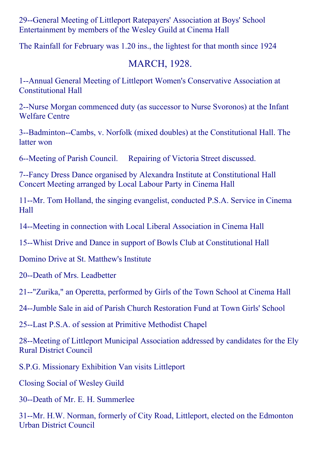29--General Meeting of Littleport Ratepayers' Association at Boys' School Entertainment by members of the Wesley Guild at Cinema Hall

The Rainfall for February was 1.20 ins., the lightest for that month since 1924

### MARCH, 1928.

1--Annual General Meeting of Littleport Women's Conservative Association at Constitutional Hall

2--Nurse Morgan commenced duty (as successor to Nurse Svoronos) at the Infant Welfare Centre

3--Badminton--Cambs, v. Norfolk (mixed doubles) at the Constitutional Hall. The latter won

6--Meeting of Parish Council. Repairing of Victoria Street discussed.

7Fancy Dress Dance organised by Alexandra Institute at Constitutional Hall Concert Meeting arranged by Local Labour Party in Cinema Hall

11--Mr. Tom Holland, the singing evangelist, conducted P.S.A. Service in Cinema Hall

14--Meeting in connection with Local Liberal Association in Cinema Hall

15--Whist Drive and Dance in support of Bowls Club at Constitutional Hall

Domino Drive at St. Matthew's Institute

20--Death of Mrs. Leadbetter

21--"Zurika," an Operetta, performed by Girls of the Town School at Cinema Hall

24--Jumble Sale in aid of Parish Church Restoration Fund at Town Girls' School

25--Last P.S.A. of session at Primitive Methodist Chapel

28--Meeting of Littleport Municipal Association addressed by candidates for the Ely Rural District Council

S.P.G. Missionary Exhibition Van visits Littleport

Closing Social of Wesley Guild

30--Death of Mr. E. H. Summerlee

31--Mr. H.W. Norman, formerly of City Road, Littleport, elected on the Edmonton Urban District Council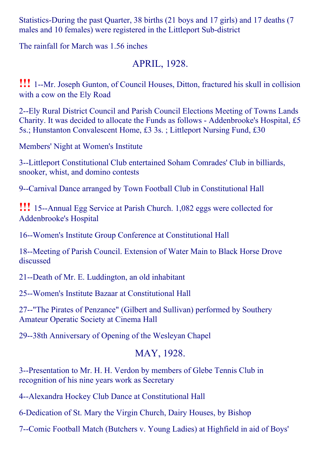Statistics-During the past Quarter, 38 births (21 boys and 17 girls) and 17 deaths (7 males and 10 females) were registered in the Littleport Sub-district

The rainfall for March was 1.56 inches

### APRIL, 1928.

**!!!** 1--Mr. Joseph Gunton, of Council Houses, Ditton, fractured his skull in collision with a cow on the Ely Road

2--Ely Rural District Council and Parish Council Elections Meeting of Towns Lands Charity. It was decided to allocate the Funds as follows - Addenbrooke's Hospital, £5 5s.; Hunstanton Convalescent Home, £3 3s. ; Littleport Nursing Fund, £30

Members' Night at Women's Institute

3--Littleport Constitutional Club entertained Soham Comrades' Club in billiards, snooker, whist, and domino contests

9--Carnival Dance arranged by Town Football Club in Constitutional Hall

**!!!** 15--Annual Egg Service at Parish Church. 1,082 eggs were collected for Addenbrooke's Hospital

16--Women's Institute Group Conference at Constitutional Hall

18--Meeting of Parish Council. Extension of Water Main to Black Horse Drove discussed

 $21$ --Death of Mr. E. Luddington, an old inhabitant

25--Women's Institute Bazaar at Constitutional Hall

27--"The Pirates of Penzance" (Gilbert and Sullivan) performed by Southery Amateur Operatic Society at Cinema Hall

29--38th Anniversary of Opening of the Wesleyan Chapel

#### MAY, 1928.

3--Presentation to Mr. H. H. Verdon by members of Glebe Tennis Club in recognition of his nine years work as Secretary

4--Alexandra Hockey Club Dance at Constitutional Hall

6-Dedication of St. Mary the Virgin Church, Dairy Houses, by Bishop

7--Comic Football Match (Butchers v. Young Ladies) at Highfield in aid of Boys'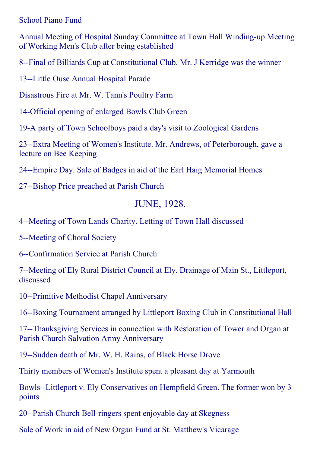School Piano Fund

Annual Meeting of Hospital Sunday Committee at Town Hall Winding-up Meeting of Working Men's Club after being established

8-Final of Billiards Cup at Constitutional Club. Mr. J Kerridge was the winner

13--Little Ouse Annual Hospital Parade

Disastrous Fire at Mr. W. Tann's Poultry Farm

14Official opening of enlarged Bowls Club Green

19A party of Town Schoolboys paid a day's visit to Zoological Gardens

23--Extra Meeting of Women's Institute. Mr. Andrews, of Peterborough, gave a lecture on Bee Keeping

24--Empire Day. Sale of Badges in aid of the Earl Haig Memorial Homes

27--Bishop Price preached at Parish Church

#### JUNE, 1928.

4--Meeting of Town Lands Charity. Letting of Town Hall discussed

5--Meeting of Choral Society

6--Confirmation Service at Parish Church

7--Meeting of Ely Rural District Council at Ely. Drainage of Main St., Littleport, discussed

10--Primitive Methodist Chapel Anniversary

16--Boxing Tournament arranged by Littleport Boxing Club in Constitutional Hall

17--Thanksgiving Services in connection with Restoration of Tower and Organ at Parish Church Salvation Army Anniversary

19--Sudden death of Mr. W. H. Rains, of Black Horse Drove

Thirty members of Women's Institute spent a pleasant day at Yarmouth

Bowls--Littleport v. Ely Conservatives on Hempfield Green. The former won by 3 points

20--Parish Church Bell-ringers spent enjoyable day at Skegness

Sale of Work in aid of New Organ Fund at St. Matthew's Vicarage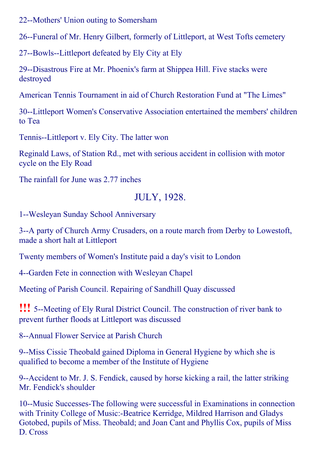22--Mothers' Union outing to Somersham

26-Funeral of Mr. Henry Gilbert, formerly of Littleport, at West Tofts cemetery

27--Bowls--Littleport defeated by Ely City at Ely

29--Disastrous Fire at Mr. Phoenix's farm at Shippea Hill. Five stacks were destroyed

American Tennis Tournament in aid of Church Restoration Fund at "The Limes"

30--Littleport Women's Conservative Association entertained the members' children to Tea

Tennis--Littleport v. Ely City. The latter won

Reginald Laws, of Station Rd., met with serious accident in collision with motor cycle on the Ely Road

The rainfall for June was 2.77 inches

#### JULY, 1928.

1--Wesleyan Sunday School Anniversary

3--A party of Church Army Crusaders, on a route march from Derby to Lowestoft, made a short halt at Littleport

Twenty members of Women's Institute paid a day's visit to London

4--Garden Fete in connection with Wesleyan Chapel

Meeting of Parish Council. Repairing of Sandhill Quay discussed

!!! 5--Meeting of Ely Rural District Council. The construction of river bank to prevent further floods at Littleport was discussed

8--Annual Flower Service at Parish Church

9--Miss Cissie Theobald gained Diploma in General Hygiene by which she is qualified to become a member of the Institute of Hygiene

9--Accident to Mr. J. S. Fendick, caused by horse kicking a rail, the latter striking Mr. Fendick's shoulder

10--Music Successes-The following were successful in Examinations in connection with Trinity College of Music:-Beatrice Kerridge, Mildred Harrison and Gladys Gotobed, pupils of Miss. Theobald; and Joan Cant and Phyllis Cox, pupils of Miss D. Cross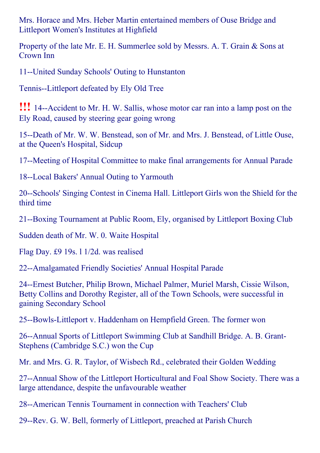Mrs. Horace and Mrs. Heber Martin entertained members of Ouse Bridge and Littleport Women's Institutes at Highfield

Property of the late Mr. E. H. Summerlee sold by Messrs. A. T. Grain & Sons at Crown Inn

11--United Sunday Schools' Outing to Hunstanton

Tennis--Littleport defeated by Ely Old Tree

**!!!** 14--Accident to Mr. H. W. Sallis, whose motor car ran into a lamp post on the Ely Road, caused by steering gear going wrong

15--Death of Mr. W. W. Benstead, son of Mr. and Mrs. J. Benstead, of Little Ouse, at the Queen's Hospital, Sidcup

17--Meeting of Hospital Committee to make final arrangements for Annual Parade

18--Local Bakers' Annual Outing to Yarmouth

20--Schools' Singing Contest in Cinema Hall. Littleport Girls won the Shield for the third time

21--Boxing Tournament at Public Room, Ely, organised by Littleport Boxing Club

Sudden death of Mr. W. 0. Waite Hospital

Flag Day. £9 19s. l 1/2d. was realised

22--Amalgamated Friendly Societies' Annual Hospital Parade

24--Ernest Butcher, Philip Brown, Michael Palmer, Muriel Marsh, Cissie Wilson, Betty Collins and Dorothy Register, all of the Town Schools, were successful in gaining Secondary School

25--Bowls-Littleport v. Haddenham on Hempfield Green. The former won

26--Annual Sports of Littleport Swimming Club at Sandhill Bridge. A. B. Grant-Stephens (Cambridge S.C.) won the Cup

Mr. and Mrs. G. R. Taylor, of Wisbech Rd., celebrated their Golden Wedding

27--Annual Show of the Littleport Horticultural and Foal Show Society. There was a large attendance, despite the unfavourable weather

28--American Tennis Tournament in connection with Teachers' Club

29--Rev. G. W. Bell, formerly of Littleport, preached at Parish Church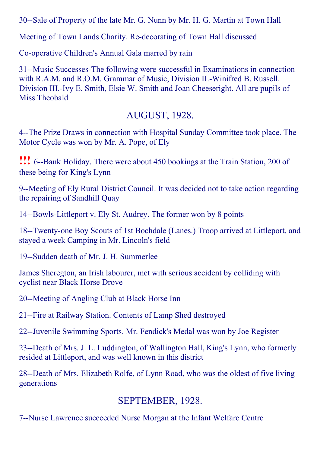30--Sale of Property of the late Mr. G. Nunn by Mr. H. G. Martin at Town Hall

Meeting of Town Lands Charity. Re-decorating of Town Hall discussed

Co-operative Children's Annual Gala marred by rain

31--Music Successes-The following were successful in Examinations in connection with R.A.M. and R.O.M. Grammar of Music, Division II.-Winifred B. Russell. Division III.-Ivy E. Smith, Elsie W. Smith and Joan Cheeseright. All are pupils of Miss Theobald

#### AUGUST, 1928.

4--The Prize Draws in connection with Hospital Sunday Committee took place. The Motor Cycle was won by Mr. A. Pope, of Ely

**!!!** 6--Bank Holiday. There were about 450 bookings at the Train Station, 200 of these being for King's Lynn

9--Meeting of Ely Rural District Council. It was decided not to take action regarding the repairing of Sandhill Quay

14--Bowls-Littleport v. Ely St. Audrey. The former won by 8 points

18--Twenty-one Boy Scouts of 1st Bochdale (Lanes.) Troop arrived at Littleport, and stayed a week Camping in Mr. Lincoln's field

19--Sudden death of Mr. J. H. Summerlee

James Sheregton, an Irish labourer, met with serious accident by colliding with cyclist near Black Horse Drove

20--Meeting of Angling Club at Black Horse Inn

21-Fire at Railway Station. Contents of Lamp Shed destroyed

22--Juvenile Swimming Sports. Mr. Fendick's Medal was won by Joe Register

23--Death of Mrs. J. L. Luddington, of Wallington Hall, King's Lynn, who formerly resided at Littleport, and was well known in this district

28--Death of Mrs. Elizabeth Rolfe, of Lynn Road, who was the oldest of five living generations

#### SEPTEMBER, 1928.

7--Nurse Lawrence succeeded Nurse Morgan at the Infant Welfare Centre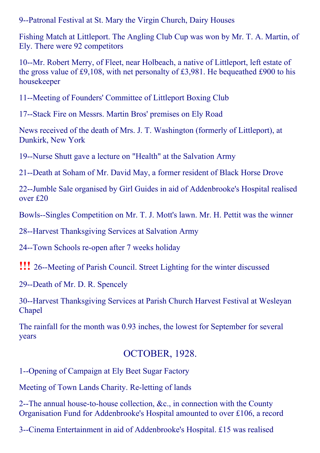9--Patronal Festival at St. Mary the Virgin Church, Dairy Houses

Fishing Match at Littleport. The Angling Club Cup was won by Mr. T. A. Martin, of Ely. There were 92 competitors

10--Mr. Robert Merry, of Fleet, near Holbeach, a native of Littleport, left estate of the gross value of £9,108, with net personalty of £3,981. He bequeathed £900 to his housekeeper

11--Meeting of Founders' Committee of Littleport Boxing Club

17--Stack Fire on Messrs. Martin Bros' premises on Ely Road

News received of the death of Mrs. J. T. Washington (formerly of Littleport), at Dunkirk, New York

19--Nurse Shutt gave a lecture on "Health" at the Salvation Army

21--Death at Soham of Mr. David May, a former resident of Black Horse Drove

22--Jumble Sale organised by Girl Guides in aid of Addenbrooke's Hospital realised over £20

Bowls--Singles Competition on Mr. T. J. Mott's lawn. Mr. H. Pettit was the winner

28--Harvest Thanksgiving Services at Salvation Army

24-Town Schools re-open after 7 weeks holiday

**!!!** 26--Meeting of Parish Council. Street Lighting for the winter discussed

29--Death of Mr. D. R. Spencely

30--Harvest Thanksgiving Services at Parish Church Harvest Festival at Wesleyan Chapel

The rainfall for the month was 0.93 inches, the lowest for September for several years

#### OCTOBER, 1928.

1--Opening of Campaign at Ely Beet Sugar Factory

Meeting of Town Lands Charity. Re-letting of lands

2--The annual house-to-house collection,  $\&c$ , in connection with the County Organisation Fund for Addenbrooke's Hospital amounted to over £106, a record

3--Cinema Entertainment in aid of Addenbrooke's Hospital. £15 was realised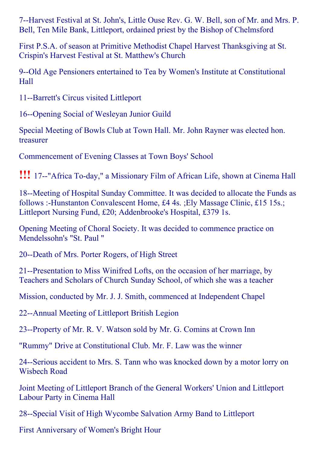7--Harvest Festival at St. John's, Little Ouse Rev. G. W. Bell, son of Mr. and Mrs. P. Bell, Ten Mile Bank, Littleport, ordained priest by the Bishop of Chelmsford

First P.S.A. of season at Primitive Methodist Chapel Harvest Thanksgiving at St. Crispin's Harvest Festival at St. Matthew's Church

9--Old Age Pensioners entertained to Tea by Women's Institute at Constitutional Hall

11--Barrett's Circus visited Littleport

16--Opening Social of Wesleyan Junior Guild

Special Meeting of Bowls Club at Town Hall. Mr. John Rayner was elected hon. treasurer

Commencement of Evening Classes at Town Boys' School

**!!!** 17--"Africa To-day," a Missionary Film of African Life, shown at Cinema Hall

18--Meeting of Hospital Sunday Committee. It was decided to allocate the Funds as follows :-Hunstanton Convalescent Home, £4 4s. ;Ely Massage Clinic, £15 15s.; Littleport Nursing Fund, £20; Addenbrooke's Hospital, £379 1s.

Opening Meeting of Choral Society. It was decided to commence practice on Mendelssohn's "St. Paul "

20--Death of Mrs. Porter Rogers, of High Street

21--Presentation to Miss Winifred Lofts, on the occasion of her marriage, by Teachers and Scholars of Church Sunday School, of which she was a teacher

Mission, conducted by Mr. J. J. Smith, commenced at Independent Chapel

22--Annual Meeting of Littleport British Legion

23--Property of Mr. R. V. Watson sold by Mr. G. Comins at Crown Inn

"Rummy" Drive at Constitutional Club. Mr. F. Law was the winner

24--Serious accident to Mrs. S. Tann who was knocked down by a motor lorry on Wisbech Road

Joint Meeting of Littleport Branch of the General Workers' Union and Littleport Labour Party in Cinema Hall

28--Special Visit of High Wycombe Salvation Army Band to Littleport

First Anniversary of Women's Bright Hour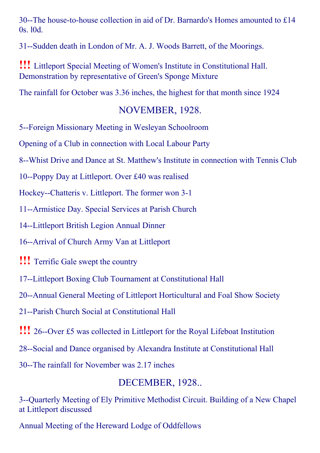30--The house-to-house collection in aid of Dr. Barnardo's Homes amounted to £14 0s. l0d.

31--Sudden death in London of Mr. A. J. Woods Barrett, of the Moorings.

!!! Littleport Special Meeting of Women's Institute in Constitutional Hall. Demonstration by representative of Green's Sponge Mixture

The rainfall for October was 3.36 inches, the highest for that month since 1924

#### NOVEMBER, 1928.

5--Foreign Missionary Meeting in Wesleyan Schoolroom

Opening of a Club in connection with Local Labour Party

8--Whist Drive and Dance at St. Matthew's Institute in connection with Tennis Club

10--Poppy Day at Littleport. Over £40 was realised

Hockey--Chatteris v. Littleport. The former won 3-1

11--Armistice Day. Special Services at Parish Church

14--Littleport British Legion Annual Dinner

16--Arrival of Church Army Van at Littleport

!!! Terrific Gale swept the country

17--Littleport Boxing Club Tournament at Constitutional Hall

20--Annual General Meeting of Littleport Horticultural and Foal Show Society

21--Parish Church Social at Constitutional Hall

**!!!** 26--Over £5 was collected in Littleport for the Royal Lifeboat Institution

28--Social and Dance organised by Alexandra Institute at Constitutional Hall

30--The rainfall for November was 2.17 inches

## DECEMBER, 1928..

3--Quarterly Meeting of Ely Primitive Methodist Circuit. Building of a New Chapel at Littleport discussed

Annual Meeting of the Hereward Lodge of Oddfellows